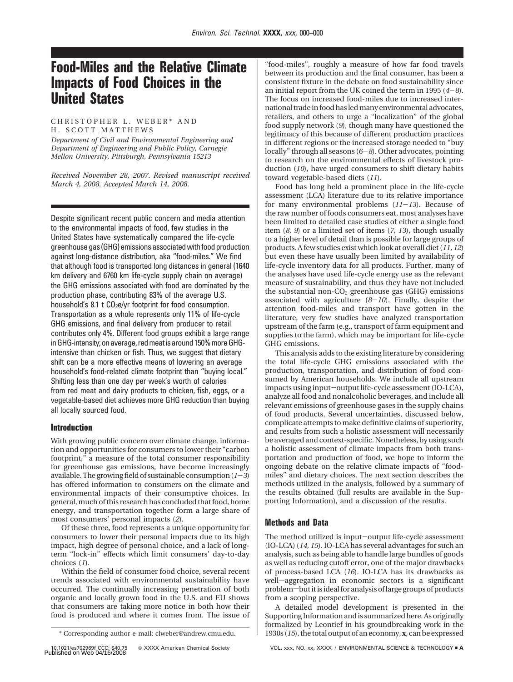# **Food-Miles and the Relative Climate Impacts of Food Choices in the United States**

## CHRISTOPHER L. WEBER\* AND H. SCOTT MATTHEWS

*Department of Civil and Environmental Engineering and Department of Engineering and Public Policy, Carnegie Mellon University, Pittsburgh, Pennsylvania 15213*

*Received November 28, 2007. Revised manuscript received March 4, 2008. Accepted March 14, 2008.*

Despite significant recent public concern and media attention to the environmental impacts of food, few studies in the United States have systematically compared the life-cycle greenhouse gas (GHG) emissions associated with food production against long-distance distribution, aka "food-miles." We find that although food is transported long distances in general (1640 km delivery and 6760 km life-cycle supply chain on average) the GHG emissions associated with food are dominated by the production phase, contributing 83% of the average U.S. household's 8.1 t  $CO<sub>2</sub>e/yr$  footprint for food consumption. Transportation as a whole represents only 11% of life-cycle GHG emissions, and final delivery from producer to retail contributes only 4%. Different food groups exhibit a large range in GHG-intensity; on average, red meat is around 150% more GHGintensive than chicken or fish. Thus, we suggest that dietary shift can be a more effective means of lowering an average household's food-related climate footprint than "buying local." Shifting less than one day per week's worth of calories from red meat and dairy products to chicken, fish, eggs, or a vegetable-based diet achieves more GHG reduction than buying all locally sourced food.

# **Introduction**

With growing public concern over climate change, information and opportunities for consumers to lower their "carbon footprint," a measure of the total consumer responsibility for greenhouse gas emissions, have become increasingly available. The growing field of sustainable consumption  $(1-3)$ has offered information to consumers on the climate and environmental impacts of their consumptive choices. In general, much of this research has concluded that food, home energy, and transportation together form a large share of most consumers' personal impacts (*2*).

Of these three, food represents a unique opportunity for consumers to lower their personal impacts due to its high impact, high degree of personal choice, and a lack of longterm "lock-in" effects which limit consumers' day-to-day choices (*1*).

Within the field of consumer food choice, several recent trends associated with environmental sustainability have occurred. The continually increasing penetration of both organic and locally grown food in the U.S. and EU shows that consumers are taking more notice in both how their food is produced and where it comes from. The issue of

"food-miles", roughly a measure of how far food travels between its production and the final consumer, has been a consistent fixture in the debate on food sustainability since an initial report from the UK coined the term in 1995 (*4*-*8*). The focus on increased food-miles due to increased international trade in food has led many environmental advocates, retailers, and others to urge a "localization" of the global food supply network (*9*), though many have questioned the legitimacy of this because of different production practices in different regions or the increased storage needed to "buy locally" through all seasons (*6*-*8*). Other advocates, pointing to research on the environmental effects of livestock production (*10*), have urged consumers to shift dietary habits toward vegetable-based diets (*11*).

Food has long held a prominent place in the life-cycle assessment (LCA) literature due to its relative importance for many environmental problems (*11*-*13*). Because of the raw number of foods consumers eat, most analyses have been limited to detailed case studies of either a single food item (*8, 9*) or a limited set of items (*7, 13*), though usually to a higher level of detail than is possible for large groups of products. A few studies exist which look at overall diet (*11, 12*) but even these have usually been limited by availability of life-cycle inventory data for all products. Further, many of the analyses have used life-cycle energy use as the relevant measure of sustainability, and thus they have not included the substantial non- $CO<sub>2</sub>$  greenhouse gas (GHG) emissions associated with agriculture (*8*-*10*). Finally, despite the attention food-miles and transport have gotten in the literature, very few studies have analyzed transportation upstream of the farm (e.g., transport of farm equipment and supplies to the farm), which may be important for life-cycle GHG emissions.

This analysis adds to the existing literature by considering the total life-cycle GHG emissions associated with the production, transportation, and distribution of food consumed by American households. We include all upstream impacts using input-output life-cycle assessment (IO-LCA), analyze all food and nonalcoholic beverages, and include all relevant emissions of greenhouse gases in the supply chains of food products. Several uncertainties, discussed below, complicate attempts to make definitive claims of superiority, and results from such a holistic assessment will necessarily be averaged and context-specific. Nonetheless, by using such a holistic assessment of climate impacts from both transportation and production of food, we hope to inform the ongoing debate on the relative climate impacts of "foodmiles" and dietary choices. The next section describes the methods utilized in the analysis, followed by a summary of the results obtained (full results are available in the Supporting Information), and a discussion of the results.

# **Methods and Data**

The method utilized is input-output life-cycle assessment (IO-LCA) (*14, 15*). IO-LCA has several advantages for such an analysis, such as being able to handle large bundles of goods as well as reducing cutoff error, one of the major drawbacks of process-based LCA (*16*). IO-LCA has its drawbacks as well-aggregation in economic sectors is a significant problem-but it is ideal for analysis of large groups of products from a scoping perspective.

A detailed model development is presented in the Supporting Information and is summarized here. As originally formalized by Leontief in his groundbreaking work in the \* Corresponding author e-mail: clweber@andrew.cmu.edu. 1930s (*15*), the total output of an economy, **x**, can be expressed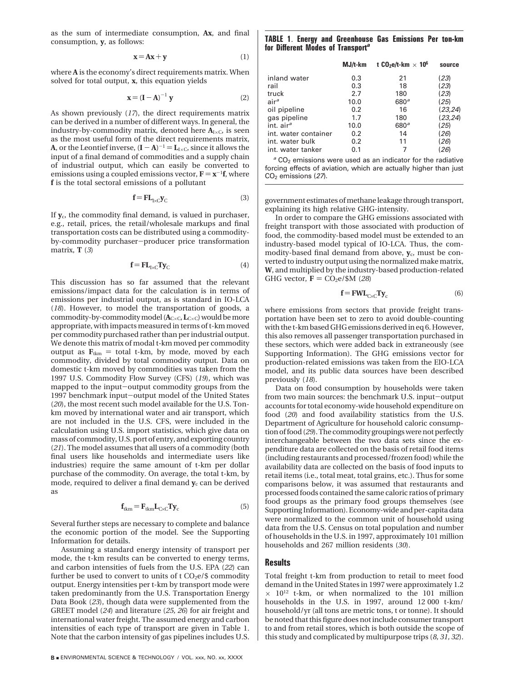as the sum of intermediate consumption, **Ax**, and final consumption, **y**, as follows:

$$
\mathbf{x} = \mathbf{A}\mathbf{x} + \mathbf{y} \tag{1}
$$

where **A** is the economy's direct requirements matrix. When solved for total output, **x**, this equation yields

$$
\mathbf{x} = (\mathbf{I} - \mathbf{A})^{-1} \mathbf{y}
$$
 (2)

As shown previously (*17*), the direct requirements matrix can be derived in a number of different ways. In general, the industry-by-commodity matrix, denoted here  $A_{I \times C}$ , is seen as the most useful form of the direct requirements matrix, **A**, or the Leontief inverse,  $(I - A)^{-1} = L_{I \times C}$ , since it allows the input of a final demand of commodities and a supply chain of industrial output, which can easily be converted to emissions using a coupled emissions vector,  $\mathbf{F} = \mathbf{x}^{-1} \mathbf{f}$ , where **f** is the total sectoral emissions of a pollutant

$$
\mathbf{f} = \mathbf{F} \mathbf{L}_{I \times C} \mathbf{y}_C \tag{3}
$$

If  $\mathbf{v}_c$ , the commodity final demand, is valued in purchaser, e.g., retail, prices, the retail/wholesale markups and final transportation costs can be distributed using a commodityby-commodity purchaser-producer price transformation matrix, **T** (*3*)

$$
\mathbf{f} = \mathbf{F}\mathbf{L}_{I \times C} \mathbf{T} \mathbf{y}_C \tag{4}
$$

This discussion has so far assumed that the relevant emissions/impact data for the calculation is in terms of emissions per industrial output, as is standard in IO-LCA (*18*). However, to model the transportation of goods, a commodity-by-commodity model (**A**<sup>C</sup>×C,**L**<sup>C</sup>×C) would be more appropriate, with impacts measured in terms of t-km moved per commodity purchased rather than per industrial output. We denote this matrix of modal t-km moved per commodity output as  $\mathbf{F}_{tkm}$  = total t-km, by mode, moved by each commodity, divided by total commodity output. Data on domestic t-km moved by commodities was taken from the 1997 U.S. Commodity Flow Survey (CFS) (*19*), which was mapped to the input-output commodity groups from the 1997 benchmark input-output model of the United States (*20*), the most recent such model available for the U.S. Tonkm moved by international water and air transport, which are not included in the U.S. CFS, were included in the calculation using U.S. import statistics, which give data on mass of commodity, U.S. port of entry, and exporting country (*21*). The model assumes that all users of a commodity (both final users like households and intermediate users like industries) require the same amount of t-km per dollar purchase of the commodity. On average, the total t-km, by mode, required to deliver a final demand  $y_c$  can be derived as

$$
\mathbf{f}_{\text{tkm}} = \mathbf{F}_{\text{tkm}} \mathbf{L}_{\text{C} \times \text{C}} \mathbf{T} \mathbf{y}_{\text{c}}
$$
 (5)

Several further steps are necessary to complete and balance the economic portion of the model. See the Supporting Information for details.

Assuming a standard energy intensity of transport per mode, the t-km results can be converted to energy terms, and carbon intensities of fuels from the U.S. EPA (*22*) can further be used to convert to units of t $\rm CO_2 e/\$$  commodity output. Energy intensities per t-km by transport mode were taken predominantly from the U.S. Transportation Energy Data Book (*23*), though data were supplemented from the GREET model (*24*) and literature (*25, 26*) for air freight and international water freight. The assumed energy and carbon intensities of each type of transport are given in Table 1. Note that the carbon intensity of gas pipelines includes U.S.

### **TABLE 1**. **Energy and Greenhouse Gas Emissions Per ton-km for Different Modes of Transport***<sup>a</sup>*

| $MJ/t$ - $km$ | t CO <sub>2</sub> e/t-km $\times$ 10 <sup>6</sup> | source   |
|---------------|---------------------------------------------------|----------|
| 0.3           | 21                                                | (23)     |
| 0.3           | 18                                                | (23)     |
| 2.7           | 180                                               | (23)     |
| 10.0          | 680 <sup>a</sup>                                  | (25)     |
| 0.2           | 16                                                | (23, 24) |
| 1.7           | 180                                               | (23, 24) |
| 10.0          | 680 <sup>a</sup>                                  | (25)     |
| 0.2           | 14                                                | (26)     |
| 0.2           | 11                                                | (26)     |
| 0.1           |                                                   | 26       |
|               |                                                   |          |

<sup>a</sup> CO<sub>2</sub> emissions were used as an indicator for the radiative forcing effects of aviation, which are actually higher than just CO2 emissions (*27*).

government estimates of methane leakage through transport, explaining its high relative GHG-intensity.

In order to compare the GHG emissions associated with freight transport with those associated with production of food, the commodity-based model must be extended to an industry-based model typical of IO-LCA. Thus, the commodity-based final demand from above, **y**c, must be converted to industry output using the normalized make matrix, **W**, and multiplied by the industry-based production-related GHG vector,  $\mathbf{F} = \text{CO}_2\text{e}/\text{SM}$  (28)

$$
\mathbf{f} = \mathbf{FWL}_{C \times C} \mathbf{Ty}_c \tag{6}
$$

where emissions from sectors that provide freight transportation have been set to zero to avoid double-counting with the t-km based GHG emissions derived in eq 6. However, this also removes all passenger transportation purchased in these sectors, which were added back in extraneously (see Supporting Information). The GHG emissions vector for production-related emissions was taken from the EIO-LCA model, and its public data sources have been described previously (*18*).

Data on food consumption by households were taken from two main sources: the benchmark U.S. input-output accounts for total economy-wide household expenditure on food (*20*) and food availability statistics from the U.S. Department of Agriculture for household caloric consumption of food (*29*). The commodity groupings were not perfectly interchangeable between the two data sets since the expenditure data are collected on the basis of retail food items (including restaurants and processed/frozen food) while the availability data are collected on the basis of food inputs to retail items (i.e., total meat, total grains, etc.). Thus for some comparisons below, it was assumed that restaurants and processed foods contained the same caloric ratios of primary food groups as the primary food groups themselves (see Supporting Information). Economy-wide and per-capita data were normalized to the common unit of household using data from the U.S. Census on total population and number of households in the U.S. in 1997, approximately 101 million households and 267 million residents (*30*).

## **Results**

Total freight t-km from production to retail to meet food demand in the United States in 1997 were approximately 1.2  $\times$  10<sup>12</sup> t-km, or when normalized to the 101 million households in the U.S. in 1997, around 12 000 t-km/ household/yr (all tons are metric tons, t or tonne). It should be noted that this figure does not include consumer transport to and from retail stores, which is both outside the scope of this study and complicated by multipurpose trips (*8, 31, 32*).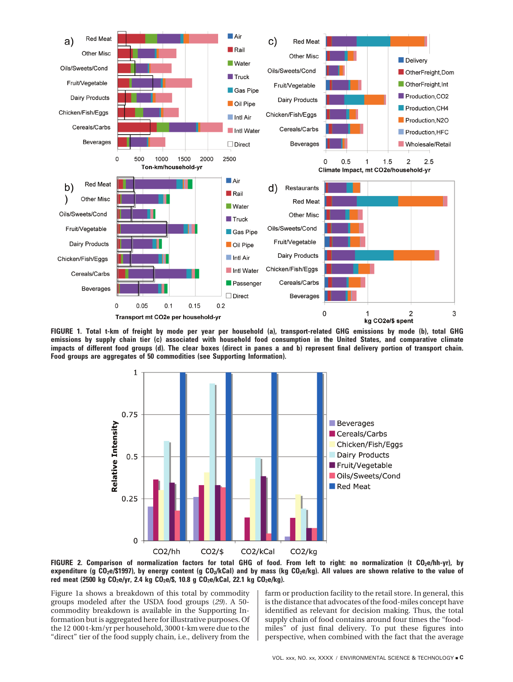







Figure 1a shows a breakdown of this total by commodity groups modeled after the USDA food groups (*29*). A 50 commodity breakdown is available in the Supporting Information but is aggregated here for illustrative purposes. Of the 12 000 t-km/yr per household, 3000 t-km were due to the "direct" tier of the food supply chain, i.e., delivery from the

farm or production facility to the retail store. In general, this is the distance that advocates of the food-miles concept have identified as relevant for decision making. Thus, the total supply chain of food contains around four times the "foodmiles" of just final delivery. To put these figures into perspective, when combined with the fact that the average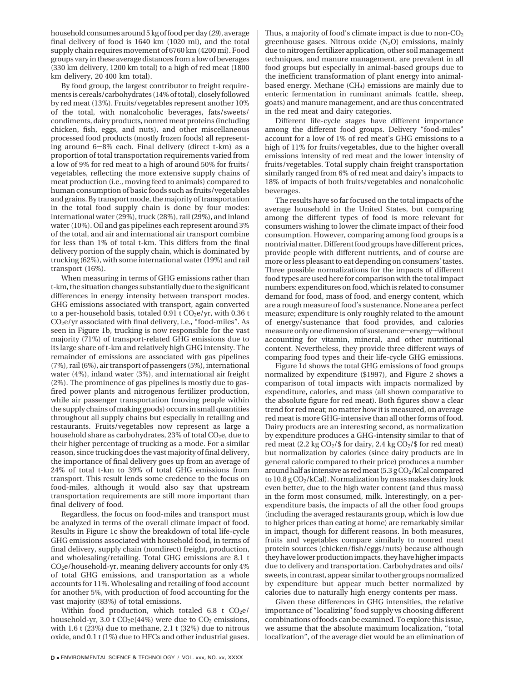household consumes around 5 kg of food per day (*29*), average final delivery of food is 1640 km (1020 mi), and the total supply chain requires movement of 6760 km (4200 mi). Food groups vary in these average distances from a low of beverages (330 km delivery, 1200 km total) to a high of red meat (1800 km delivery, 20 400 km total).

By food group, the largest contributor to freight requirements is cereals/carbohydrates (14% of total), closely followed by red meat (13%). Fruits/vegetables represent another 10% of the total, with nonalcoholic beverages, fats/sweets/ condiments, dairy products, nonred meat proteins (including chicken, fish, eggs, and nuts), and other miscellaneous processed food products (mostly frozen foods) all representing around 6-8% each. Final delivery (direct t-km) as a proportion of total transportation requirements varied from a low of 9% for red meat to a high of around 50% for fruits/ vegetables, reflecting the more extensive supply chains of meat production (i.e., moving feed to animals) compared to human consumption of basic foods such as fruits/vegetables and grains. By transport mode, the majority of transportation in the total food supply chain is done by four modes: international water (29%), truck (28%), rail (29%), and inland water (10%). Oil and gas pipelines each represent around 3% of the total, and air and international air transport combine for less than 1% of total t-km. This differs from the final delivery portion of the supply chain, which is dominated by trucking (62%), with some international water (19%) and rail transport (16%).

When measuring in terms of GHG emissions rather than t-km, the situation changes substantially due to the significant differences in energy intensity between transport modes. GHG emissions associated with transport, again converted to a per-household basis, totaled  $0.91$  t  $CO<sub>2</sub>e/yr$ , with  $0.36$  t CO2e/yr associated with final delivery, i.e., "food-miles". As seen in Figure 1b, trucking is now responsible for the vast majority (71%) of transport-related GHG emissions due to its large share of t-km and relatively high GHG intensity. The remainder of emissions are associated with gas pipelines (7%), rail (6%), air transport of passengers (5%), international water (4%), inland water (3%), and international air freight (2%). The prominence of gas pipelines is mostly due to gasfired power plants and nitrogenous fertilizer production, while air passenger transportation (moving people within the supply chains of making goods) occurs in small quantities throughout all supply chains but especially in retailing and restaurants. Fruits/vegetables now represent as large a household share as carbohydrates,  $23\%$  of total  $CO<sub>2</sub>e$ , due to their higher percentage of trucking as a mode. For a similar reason, since trucking does the vast majority of final delivery, the importance of final delivery goes up from an average of 24% of total t-km to 39% of total GHG emissions from transport. This result lends some credence to the focus on food-miles, although it would also say that upstream transportation requirements are still more important than final delivery of food.

Regardless, the focus on food-miles and transport must be analyzed in terms of the overall climate impact of food. Results in Figure 1c show the breakdown of total life-cycle GHG emissions associated with household food, in terms of final delivery, supply chain (nondirect) freight, production, and wholesaling/retailing. Total GHG emissions are 8.1 t  $CO<sub>2</sub>e/household-yr, meaning delivery accounts for only 4%$ of total GHG emissions, and transportation as a whole accounts for 11%. Wholesaling and retailing of food account for another 5%, with production of food accounting for the vast majority (83%) of total emissions.

Within food production, which totaled  $6.8$  t CO<sub>2</sub>e/ household-yr, 3.0 t  $CO<sub>2</sub>e(44%)$  were due to  $CO<sub>2</sub>$  emissions, with 1.6 t (23%) due to methane, 2.1 t (32%) due to nitrous oxide, and 0.1 t (1%) due to HFCs and other industrial gases.

Thus, a majority of food's climate impact is due to non- $CO<sub>2</sub>$ greenhouse gases. Nitrous oxide  $(N_2O)$  emissions, mainly due to nitrogen fertilizer application, other soil management techniques, and manure management, are prevalent in all food groups but especially in animal-based groups due to the inefficient transformation of plant energy into animalbased energy. Methane  $(CH<sub>4</sub>)$  emissions are mainly due to enteric fermentation in ruminant animals (cattle, sheep, goats) and manure management, and are thus concentrated in the red meat and dairy categories.

Different life-cycle stages have different importance among the different food groups. Delivery "food-miles" account for a low of 1% of red meat's GHG emissions to a high of 11% for fruits/vegetables, due to the higher overall emissions intensity of red meat and the lower intensity of fruits/vegetables. Total supply chain freight transportation similarly ranged from 6% of red meat and dairy's impacts to 18% of impacts of both fruits/vegetables and nonalcoholic beverages.

The results have so far focused on the total impacts of the average household in the United States, but comparing among the different types of food is more relevant for consumers wishing to lower the climate impact of their food consumption. However, comparing among food groups is a nontrivial matter. Different food groups have different prices, provide people with different nutrients, and of course are more or less pleasant to eat depending on consumers' tastes. Three possible normalizations for the impacts of different food types are used here for comparison with the total impact numbers: expenditures on food, which is related to consumer demand for food, mass of food, and energy content, which are a rough measure of food's sustenance. None are a perfect measure; expenditure is only roughly related to the amount of energy/sustenance that food provides, and calories measure only one dimension of sustenance-energy-without accounting for vitamin, mineral, and other nutritional content. Nevertheless, they provide three different ways of comparing food types and their life-cycle GHG emissions.

Figure 1d shows the total GHG emissions of food groups normalized by expenditure (\$1997), and Figure 2 shows a comparison of total impacts with impacts normalized by expenditure, calories, and mass (all shown comparative to the absolute figure for red meat). Both figures show a clear trend for red meat; no matter how it is measured, on average red meat is more GHG-intensive than all other forms of food. Dairy products are an interesting second, as normalization by expenditure produces a GHG-intensity similar to that of red meat (2.2 kg  $CO<sub>2</sub>/$$  for dairy, 2.4 kg  $CO<sub>2</sub>/$$  for red meat) but normalization by calories (since dairy products are in general caloric compared to their price) produces a number around half as intensive as red meat  $(5.3 \text{ g }CO_{2}/\text{kCal}$  compared to  $10.8$  g  $CO<sub>2</sub>/kCal$ ). Normalization by mass makes dairy look even better, due to the high water content (and thus mass) in the form most consumed, milk. Interestingly, on a perexpenditure basis, the impacts of all the other food groups (including the averaged restaurants group, which is low due to higher prices than eating at home) are remarkably similar in impact, though for different reasons. In both measures, fruits and vegetables compare similarly to nonred meat protein sources (chicken/fish/eggs/nuts) because although they have lower production impacts, they have higher impacts due to delivery and transportation. Carbohydrates and oils/ sweets, in contrast, appear similar to other groups normalized by expenditure but appear much better normalized by calories due to naturally high energy contents per mass.

Given these differences in GHG intensities, the relative importance of "localizing" food supply vs choosing different combinations of foods can be examined. To explore this issue, we assume that the absolute maximum localization, "total localization", of the average diet would be an elimination of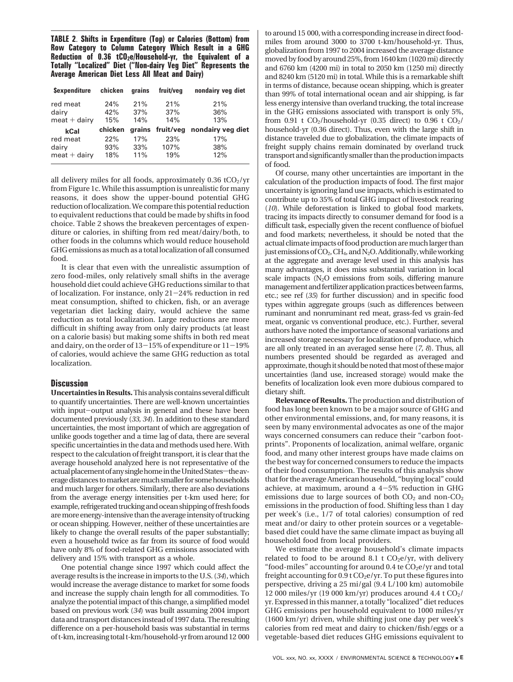**TABLE 2**. **Shifts in Expenditure (Top) or Calories (Bottom) from Row Category to Column Category Which Result in a GHG** Reduction of 0.36 tCO<sub>2</sub>e/Household-yr, the Equivalent of a **Totally "Localized" Diet ("Non-dairy Veg Diet" Represents the Average American Diet Less All Meat and Dairy)**

| <b>Sexpenditure</b> | chicken | grains | fruit/veg | nondairy veg diet                  |
|---------------------|---------|--------|-----------|------------------------------------|
| red meat            | 24%     | 21%    | 21%       | 21%                                |
| dairy               | 42%     | 37%    | 37%       | 36%                                |
| $meet + dairy$      | 15%     | 14%    | 14%       | 13%                                |
|                     |         |        |           |                                    |
| kCal                | chicken |        |           | grains fruit/veg nondairy veg diet |
| red meat            | 22%     | 17%    | 23%       | 17%                                |
| dairy               | 93%     | 33%    | 107%      | 38%                                |

all delivery miles for all foods, approximately  $0.36$  tCO<sub>2</sub>/yr from Figure 1c. While this assumption is unrealistic for many reasons, it does show the upper-bound potential GHG reduction of localization. We compare this potential reduction to equivalent reductions that could be made by shifts in food choice. Table 2 shows the breakeven percentages of expenditure or calories, in shifting from red meat/dairy/both, to other foods in the columns which would reduce household GHG emissions as much as a total localization of all consumed food.

It is clear that even with the unrealistic assumption of zero food-miles, only relatively small shifts in the average household diet could achieve GHG reductions similar to that of localization. For instance, only 21-24% reduction in red meat consumption, shifted to chicken, fish, or an average vegetarian diet lacking dairy, would achieve the same reduction as total localization. Large reductions are more difficult in shifting away from only dairy products (at least on a calorie basis) but making some shifts in both red meat and dairy, on the order of 13-15% of expenditure or  $11-19%$ of calories, would achieve the same GHG reduction as total localization.

## **Discussion**

**Uncertainties inResults.**This analysis contains several difficult to quantify uncertainties. There are well-known uncertainties with input-output analysis in general and these have been documented previously (*33, 34*). In addition to these standard uncertainties, the most important of which are aggregation of unlike goods together and a time lag of data, there are several specific uncertainties in the data and methods used here. With respect to the calculation of freight transport, it is clear that the average household analyzed here is not representative of the actual placement of any single home in the United States-the averagedistancestomarketaremuchsmallerforsomehouseholds and much larger for others. Similarly, there are also deviations from the average energy intensities per t-km used here; for example, refrigerated trucking and ocean shipping of fresh foods are more energy-intensive than the average intensity of trucking or ocean shipping. However, neither of these uncertainties are likely to change the overall results of the paper substantially; even a household twice as far from its source of food would have only 8% of food-related GHG emissions associated with delivery and 15% with transport as a whole.

One potential change since 1997 which could affect the average results is the increase in imports to the U.S. (*34*), which would increase the average distance to market for some foods and increase the supply chain length for all commodities. To analyze the potential impact of this change, a simplified model based on previous work (*34*) was built assuming 2004 import data and transport distances instead of 1997 data. The resulting difference on a per-household basis was substantial in terms of t-km, increasing total t-km/household-yr from around 12 000

to around 15 000, with a corresponding increase in direct foodmiles from around 3000 to 3700 t-km/household-yr. Thus, globalization from 1997 to 2004 increased the average distance moved by food by around 25%, from 1640 km (1020 mi) directly and 6760 km (4200 mi) in total to 2050 km (1250 mi) directly and 8240 km (5120 mi) in total. While this is a remarkable shift in terms of distance, because ocean shipping, which is greater than 99% of total international ocean and air shipping, is far less energy intensive than overland trucking, the total increase in the GHG emissions associated with transport is only 5%, from 0.91 t  $CO<sub>2</sub>/$ household-yr (0.35 direct) to 0.96 t  $CO<sub>2</sub>/$ household-yr (0.36 direct). Thus, even with the large shift in distance traveled due to globalization, the climate impacts of freight supply chains remain dominated by overland truck transport and significantly smaller than the production impacts of food.

Of course, many other uncertainties are important in the calculation of the production impacts of food. The first major uncertainty is ignoring land use impacts, which is estimated to contribute up to 35% of total GHG impact of livestock rearing (*10*). While deforestation is linked to global food markets, tracing its impacts directly to consumer demand for food is a difficult task, especially given the recent confluence of biofuel and food markets; nevertheless, it should be noted that the actual climate impacts of food production are much larger than just emissions of  $CO<sub>2</sub>$ ,  $CH<sub>4</sub>$ , and N<sub>2</sub>O. Additionally, while working at the aggregate and average level used in this analysis has many advantages, it does miss substantial variation in local scale impacts  $(N_2O)$  emissions from soils, differing manure management and fertilizer application practices between farms, etc.; see ref (*35*) for further discussion) and in specific food types within aggregate groups (such as differences between ruminant and nonruminant red meat, grass-fed vs grain-fed meat, organic vs conventional produce, etc.). Further, several authors have noted the importance of seasonal variations and increased storage necessary for localization of produce, which are all only treated in an averaged sense here (*7, 8*). Thus, all numbers presented should be regarded as averaged and approximate, though it should be noted that most of these major uncertainties (land use, increased storage) would make the benefits of localization look even more dubious compared to dietary shift.

**Relevance of Results.** The production and distribution of food has long been known to be a major source of GHG and other environmental emissions, and, for many reasons, it is seen by many environmental advocates as one of the major ways concerned consumers can reduce their "carbon footprints". Proponents of localization, animal welfare, organic food, and many other interest groups have made claims on the best way for concerned consumers to reduce the impacts of their food consumption. The results of this analysis show that for the average American household, "buying local" could achieve, at maximum, around a 4-5% reduction in GHG emissions due to large sources of both  $CO<sub>2</sub>$  and non- $CO<sub>2</sub>$ emissions in the production of food. Shifting less than 1 day per week's (i.e., 1/7 of total calories) consumption of red meat and/or dairy to other protein sources or a vegetablebased diet could have the same climate impact as buying all household food from local providers.

We estimate the average household's climate impacts related to food to be around 8.1 t  $CO<sub>2</sub>e/yr$ , with delivery "food-miles" accounting for around 0.4 te  $CO<sub>2</sub>e/yr$  and total freight accounting for  $0.9$  t  $CO<sub>2</sub>e/yr$ . To put these figures into perspective, driving a 25 mi/gal (9.4 L/100 km) automobile 12 000 miles/yr (19 000 km/yr) produces around 4.4 t  $CO<sub>2</sub>/$ yr. Expressed in this manner, a totally "localized" diet reduces GHG emissions per household equivalent to 1000 miles/yr (1600 km/yr) driven, while shifting just one day per week's calories from red meat and dairy to chicken/fish/eggs or a vegetable-based diet reduces GHG emissions equivalent to